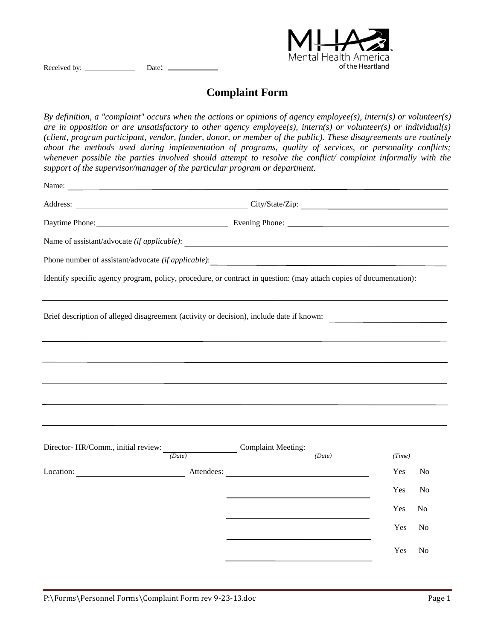

Received by: Date:

## **Complaint Form**

*By definition, a "complaint" occurs when the actions or opinions of agency employee(s), intern(s) or volunteer(s) are in opposition or are unsatisfactory to other agency employee(s), intern(s) or volunteer(s) or individual(s) (client, program participant, vendor, funder, donor, or member of the public). These disagreements are routinely about the methods used during implementation of programs, quality of services, or personality conflicts; whenever possible the parties involved should attempt to resolve the conflict/ complaint informally with the support of the supervisor/manager of the particular program or department.*

| Name:<br><u> 1989 - Johann Barn, mars eta bainar eta bainar eta baina eta baina eta baina eta baina eta baina eta baina e</u>                                                                                                      |                                          |  |  |        |                |
|------------------------------------------------------------------------------------------------------------------------------------------------------------------------------------------------------------------------------------|------------------------------------------|--|--|--------|----------------|
|                                                                                                                                                                                                                                    | Address: City/State/Zip: City/State/Zip: |  |  |        |                |
|                                                                                                                                                                                                                                    |                                          |  |  |        |                |
|                                                                                                                                                                                                                                    |                                          |  |  |        |                |
| Phone number of assistant/advocate (if applicable):                                                                                                                                                                                |                                          |  |  |        |                |
| Identify specific agency program, policy, procedure, or contract in question: (may attach copies of documentation):                                                                                                                |                                          |  |  |        |                |
| Brief description of alleged disagreement (activity or decision), include date if known:                                                                                                                                           |                                          |  |  |        |                |
|                                                                                                                                                                                                                                    |                                          |  |  |        |                |
|                                                                                                                                                                                                                                    |                                          |  |  |        |                |
|                                                                                                                                                                                                                                    |                                          |  |  |        |                |
|                                                                                                                                                                                                                                    |                                          |  |  |        |                |
|                                                                                                                                                                                                                                    |                                          |  |  |        |                |
| Director- HR/Comm., initial review: $\frac{1}{(Date)}$ Complaint Meeting: $\frac{1}{(Date)}$                                                                                                                                       |                                          |  |  |        |                |
|                                                                                                                                                                                                                                    |                                          |  |  | (Time) |                |
| Location: <u>New Attendees:</u> Attendees: New Attendees: New Attendees: New Attendees: New Attendees: New Attendees: New Attendees: New Attendees: New Attendees: New Attendees: New Attendees: New Attendees: New Attendees: New |                                          |  |  | Yes    | No             |
|                                                                                                                                                                                                                                    |                                          |  |  | Yes    | N <sub>o</sub> |
|                                                                                                                                                                                                                                    |                                          |  |  | Yes    | N <sub>0</sub> |
|                                                                                                                                                                                                                                    |                                          |  |  | Yes    | N <sub>o</sub> |
|                                                                                                                                                                                                                                    |                                          |  |  | Yes    | N <sub>o</sub> |
|                                                                                                                                                                                                                                    |                                          |  |  |        |                |